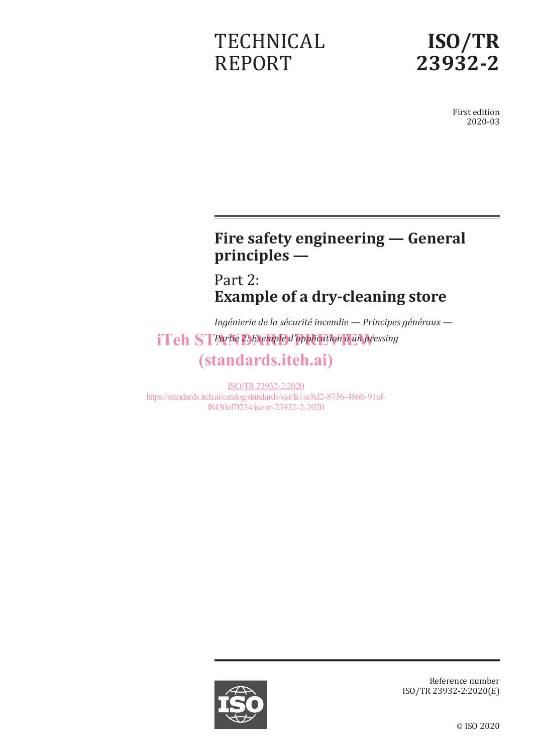# **TECHNICAL** REPORT



First edition 2020-03

# **Fire safety engineering — General principles —**

Part 2: **Example of a dry-cleaning store**

*Ingénierie de la sécurité incendie — Principes généraux iTeh STPartie 2: Exemple d'application à un pressing* (standards.iteh.ai)

ISO/TR23932-2:2020 https://standards.iteh.ai/catalog/standards/sist/fa1ac8d2-8736-486b-91aff8430af7f234/iso-tr-23932-2-2020



Reference number ISO/TR 23932-2:2020(E)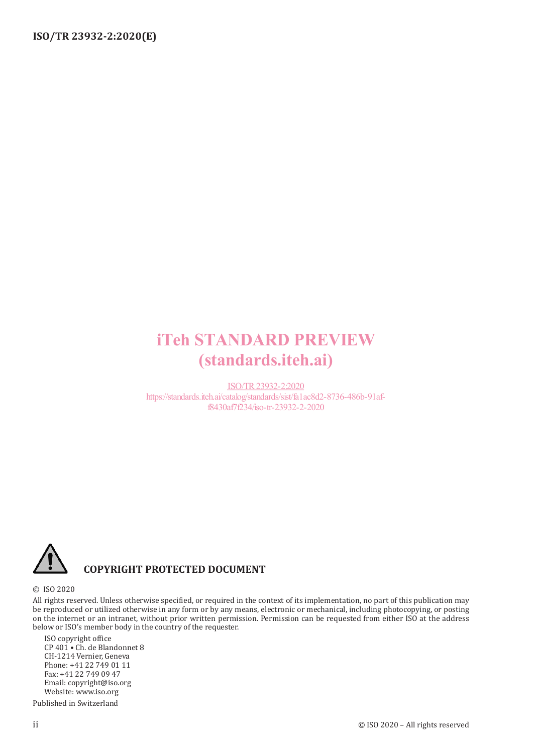# iTeh STANDARD PREVIEW (standards.iteh.ai)

ISO/TR23932-2:2020 https://standards.iteh.ai/catalog/standards/sist/fa1ac8d2-8736-486b-91aff8430af7f234/iso-tr-23932-2-2020



## **COPYRIGHT PROTECTED DOCUMENT**

#### © ISO 2020

All rights reserved. Unless otherwise specified, or required in the context of its implementation, no part of this publication may be reproduced or utilized otherwise in any form or by any means, electronic or mechanical, including photocopying, or posting on the internet or an intranet, without prior written permission. Permission can be requested from either ISO at the address below or ISO's member body in the country of the requester.

ISO copyright office CP 401 • Ch. de Blandonnet 8 CH-1214 Vernier, Geneva Phone: +41 22 749 01 11 Fax: +41 22 749 09 47 Email: copyright@iso.org Website: www.iso.org

Published in Switzerland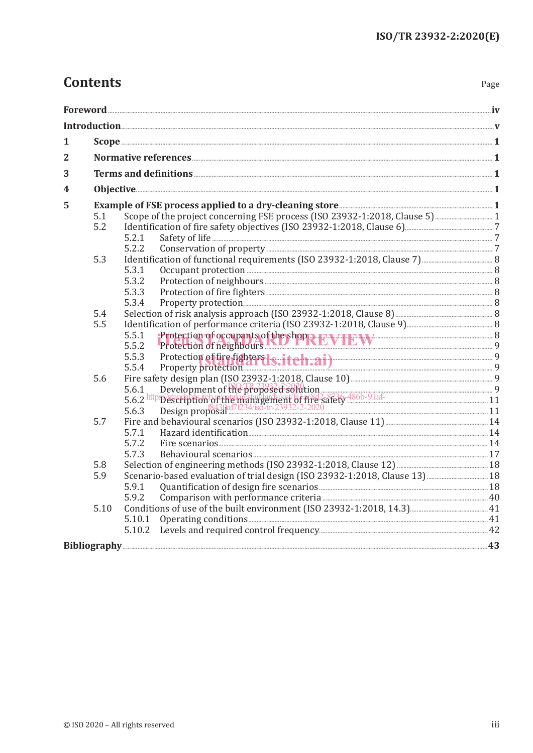# **Contents**

| 1 |      | $Scope \underline{\hspace{1cm}} 1$                                         |  |
|---|------|----------------------------------------------------------------------------|--|
| 2 |      |                                                                            |  |
|   |      |                                                                            |  |
| 3 |      |                                                                            |  |
| 4 |      |                                                                            |  |
| 5 |      |                                                                            |  |
|   | 5.1  | Scope of the project concerning FSE process (ISO 23932-1:2018, Clause 5) 1 |  |
|   | 5.2  |                                                                            |  |
|   |      | 5.2.1                                                                      |  |
|   |      | 5.2.2                                                                      |  |
|   | 5.3  |                                                                            |  |
|   |      | 5.3.1                                                                      |  |
|   |      | 5.3.2                                                                      |  |
|   |      | 5.3.3                                                                      |  |
|   |      | 5.3.4                                                                      |  |
|   | 5.4  |                                                                            |  |
|   | 5.5  | 5.5.1                                                                      |  |
|   |      | Protection of occupants of the shop REVIEW EXT 2000 8<br>5.5.2             |  |
|   |      | 5.5.3                                                                      |  |
|   |      | Protection of fire fighters 1s:iteh.ai) 9<br>5.5.4                         |  |
|   | 5.6  |                                                                            |  |
|   |      |                                                                            |  |
|   |      |                                                                            |  |
|   |      |                                                                            |  |
|   | 5.7  |                                                                            |  |
|   |      | 5.7.1                                                                      |  |
|   |      | 5.7.2                                                                      |  |
|   |      | 5.7.3                                                                      |  |
|   | 5.8  |                                                                            |  |
|   | 5.9  |                                                                            |  |
|   |      | 5.9.1                                                                      |  |
|   |      | 5.9.2                                                                      |  |
|   | 5.10 |                                                                            |  |
|   |      | 5.10.1                                                                     |  |
|   |      |                                                                            |  |
|   |      |                                                                            |  |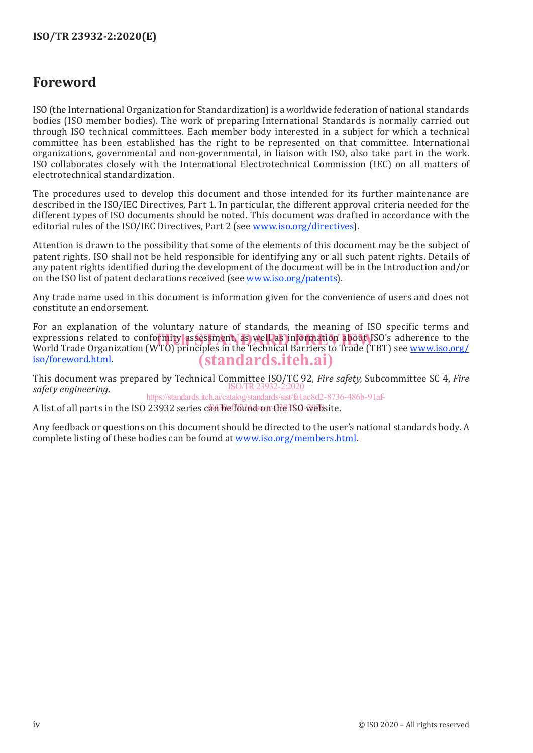## **Foreword**

ISO (the International Organization for Standardization) is a worldwide federation of national standards bodies (ISO member bodies). The work of preparing International Standards is normally carried out through ISO technical committees. Each member body interested in a subject for which a technical committee has been established has the right to be represented on that committee. International organizations, governmental and non-governmental, in liaison with ISO, also take part in the work. ISO collaborates closely with the International Electrotechnical Commission (IEC) on all matters of electrotechnical standardization.

The procedures used to develop this document and those intended for its further maintenance are described in the ISO/IEC Directives, Part 1. In particular, the different approval criteria needed for the different types of ISO documents should be noted. This document was drafted in accordance with the editorial rules of the ISO/IEC Directives, Part 2 (see www.iso.org/directives).

Attention is drawn to the possibility that some of the elements of this document may be the subject of patent rights. ISO shall not be held responsible for identifying any or all such patent rights. Details of any patent rights identified during the development of the document will be in the Introduction and/or on the ISO list of patent declarations received (see www.iso.org/patents).

Any trade name used in this document is information given for the convenience of users and does not constitute an endorsement.

For an explanation of the voluntary nature of standards, the meaning of ISO specific terms and expressions related to conformity assessment, as well as information about ISO's adherence to the<br>World Trade Organization (WTO) principles in the Technical Barriers to Trade (TBT) see www.iso.org/ World Trade Organization (WTO) principles in the Technical Barriers to Trade (TBT) see www.iso.org/ iso/foreword.html. (standards.iteh.ai)

This document was prepared by Technical Committee ISO/TC 92, *Fire safety,* Subcommittee SC 4, *Fire safety engineering*. ISO/TR23932-2:2020 https://standards.iteh.ai/catalog/standards/sist/fa1ac8d2-8736-486b-91af-

A list of all parts in the ISO 23932 series c<mark>an<sup>3</sup>be found on the ISO-web</mark>site.

Any feedback or questions on this document should be directed to the user's national standards body. A complete listing of these bodies can be found at www.iso.org/members.html.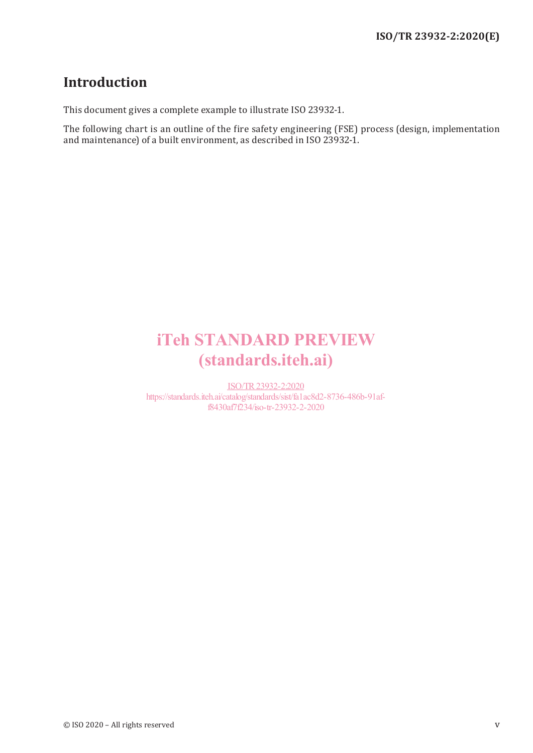## **Introduction**

This document gives a complete example to illustrate ISO 23932-1.

The following chart is an outline of the fire safety engineering (FSE) process (design, implementation and maintenance) of a built environment, as described in ISO 23932-1.

# iTeh STANDARD PREVIEW (standards.iteh.ai)

ISO/TR23932-2:2020 https://standards.iteh.ai/catalog/standards/sist/fa1ac8d2-8736-486b-91aff8430af7f234/iso-tr-23932-2-2020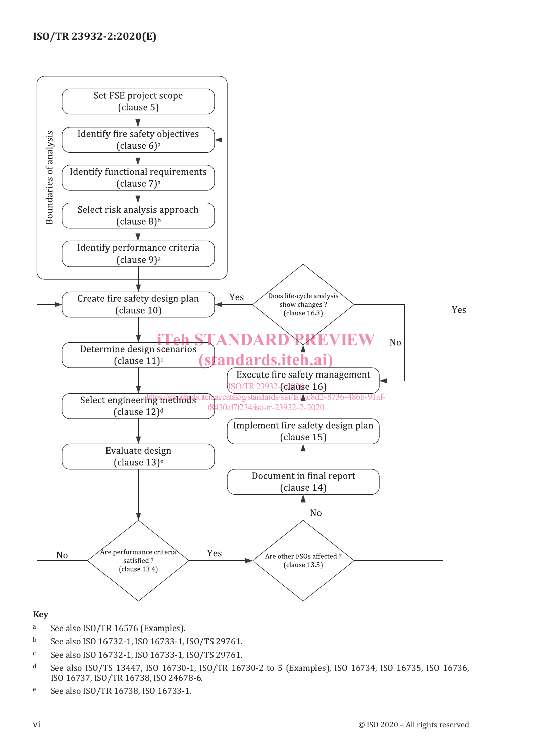

#### **Key**

- <sup>a</sup> See also ISO/TR 16576 (Examples).<br>b See also ISO 16732-1 ISO 16733-1
- <sup>b</sup> See also ISO 16732-1, ISO 16733-1, ISO/TS 29761.
- <sup>c</sup> See also ISO 16732-1, ISO 16733-1, ISO/TS 29761.
- <sup>d</sup> See also ISO/TS 13447, ISO 16730-1, ISO/TR 16730-2 to 5 (Examples), ISO 16734, ISO 16735, ISO 16736, ISO 16737, ISO/TR 16738, ISO 24678-6.
- <sup>e</sup> See also ISO/TR 16738, ISO 16733-1.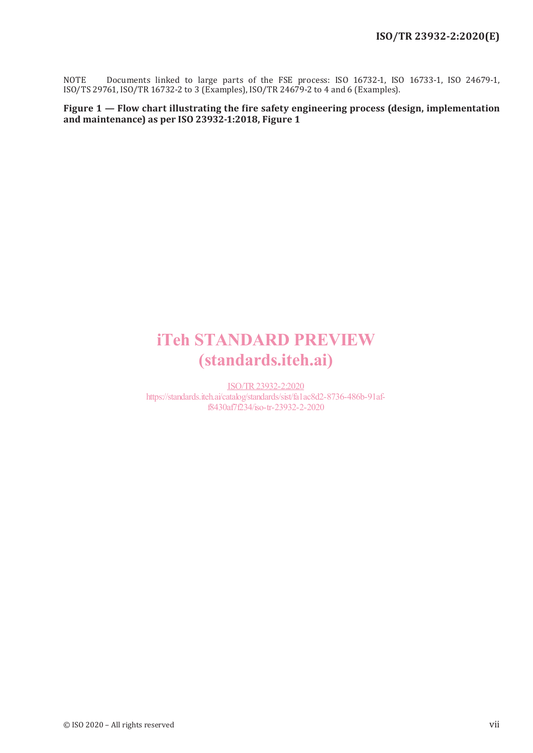NOTE Documents linked to large parts of the FSE process: ISO 16732-1, ISO 16733-1, ISO 24679-1, ISO/TS 29761, ISO/TR 16732-2 to 3 (Examples), ISO/TR 24679-2 to 4 and 6 (Examples).

**Figure 1** *—* **Flow chart illustrating the fire safety engineering process (design, implementation and maintenance) as per ISO 23932-1:2018, Figure 1**

# iTeh STANDARD PREVIEW (standards.iteh.ai)

ISO/TR23932-2:2020 https://standards.iteh.ai/catalog/standards/sist/fa1ac8d2-8736-486b-91aff8430af7f234/iso-tr-23932-2-2020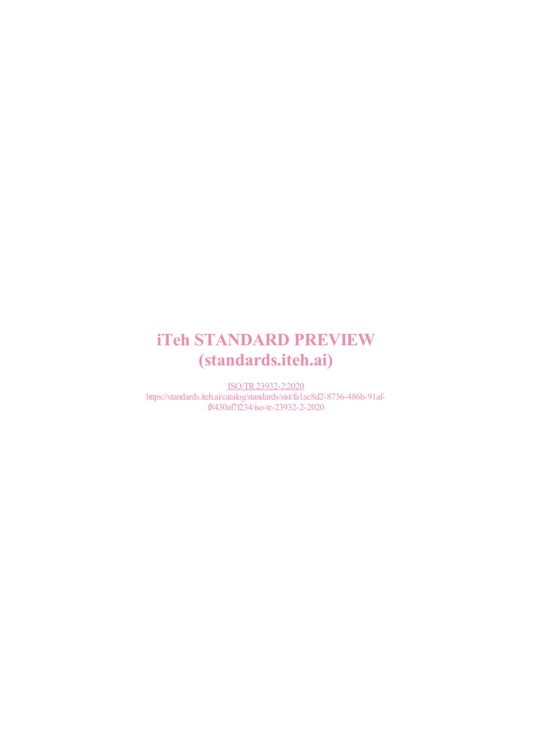# iTeh STANDARD PREVIEW (standards.iteh.ai)

ISO/TR23932-2:2020 https://standards.iteh.ai/catalog/standards/sist/fa1ac8d2-8736-486b-91aff8430af7f234/iso-tr-23932-2-2020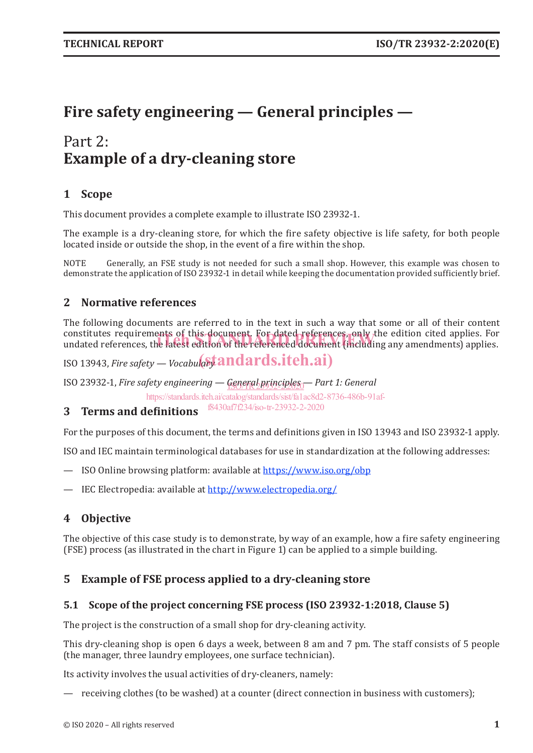# **Fire safety engineering — General principles —**

# Part 2: **Example of a dry-cleaning store**

## **1 Scope**

This document provides a complete example to illustrate ISO 23932-1.

The example is a dry-cleaning store, for which the fire safety objective is life safety, for both people located inside or outside the shop, in the event of a fire within the shop.

NOTE Generally, an FSE study is not needed for such a small shop. However, this example was chosen to demonstrate the application of ISO 23932-1 in detail while keeping the documentation provided sufficiently brief.

## **2 Normative references**

The following documents are referred to in the text in such a way that some or all of their content constitutes requirements of this document. For dated references, only the edition cited applies. For constitutes requirements of this-document. For-dated-references, only the edition cited applies. For<br>undated references, the latest edition of the referenced document (including any amendments) applies.

ISO 13943, *Fire safety — Vocabula*s $t$ andards.iteh.ai)

ISO 23932-1, *Fire safety engineering* — <u>General principles</u> — Part 1: General

https://standards.iteh.ai/catalog/standards/sist/fa1ac8d2-8736-486b-91af-

**3 Terms and definitions** f8430af7f234/iso-tr-23932-2-2020

For the purposes of this document, the terms and definitions given in ISO 13943 and ISO 23932-1 apply.

ISO and IEC maintain terminological databases for use in standardization at the following addresses:

- ISO Online browsing platform: available at https://www.iso.org/obp
- IEC Electropedia: available at http://www.electropedia.org/

## **4 Objective**

The objective of this case study is to demonstrate, by way of an example, how a fire safety engineering (FSE) process (as illustrated in the chart in Figure 1) can be applied to a simple building.

## **5 Example of FSE process applied to a dry-cleaning store**

## **5.1 Scope of the project concerning FSE process (ISO 23932-1:2018, Clause 5)**

The project is the construction of a small shop for dry-cleaning activity.

This dry-cleaning shop is open 6 days a week, between 8 am and 7 pm. The staff consists of 5 people (the manager, three laundry employees, one surface technician).

Its activity involves the usual activities of dry-cleaners, namely:

— receiving clothes (to be washed) at a counter (direct connection in business with customers);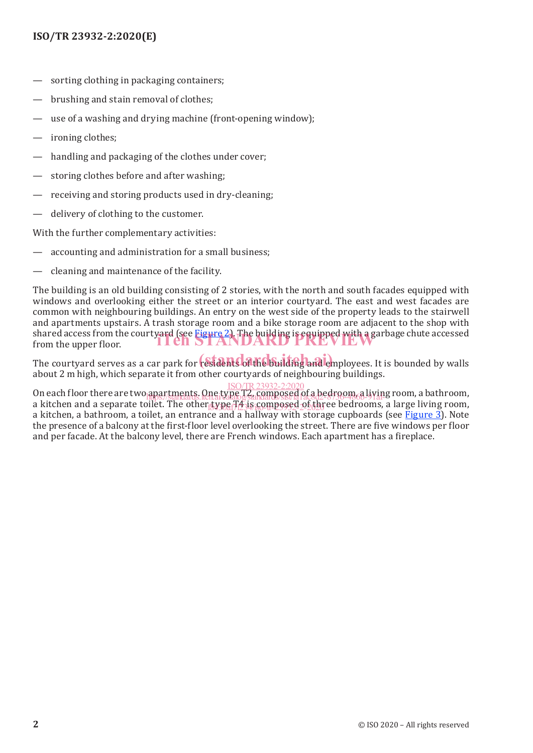## **ISO/TR 23932-2:2020(E)**

- sorting clothing in packaging containers;
- brushing and stain removal of clothes:
- use of a washing and drying machine (front-opening window);
- ironing clothes;
- handling and packaging of the clothes under cover;
- storing clothes before and after washing;
- receiving and storing products used in dry-cleaning;
- delivery of clothing to the customer.

With the further complementary activities:

- accounting and administration for a small business;
- cleaning and maintenance of the facility.

The building is an old building consisting of 2 stories, with the north and south facades equipped with windows and overlooking either the street or an interior courtyard. The east and west facades are common with neighbouring buildings. An entry on the west side of the property leads to the stairwell and apartments upstairs. A trash storage room and a bike storage room are adjacent to the shop with shared access from the courtyard (see Figure 2). The building is equipped with a garbage chute accessed from the upper floor. from the upper floor.

The courtyard serves as a car park for residents of the building and employees. It is bounded by walls about 2 m high, which separate it from other courtyards of neighbouring buildings.

On each floor there are two apartments. One type T2, composed of a bedroom, a living room, a bathroom, a kitchen and a separate toilet. The other type T4 is composed of three bedrooms, a large living room, a kitchen, a bathroom, a toilet, an entrance and a hallway with storage cupboards (see Figure 3). Note the presence of a balcony at the first-floor level overlooking the street. There are five windows per floor and per facade. At the balcony level, there are French windows. Each apartment has a fireplace. ISO/TR23932-2:2020 https://standards.iteh.ai/catalog/standards/sist/fa1ac8d2-8736-486b-91af-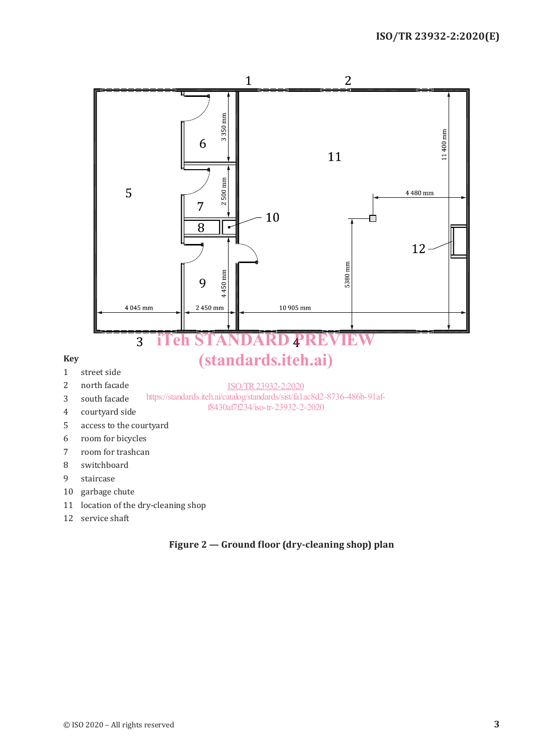

#### **Figure 2 — Ground floor (dry-cleaning shop) plan**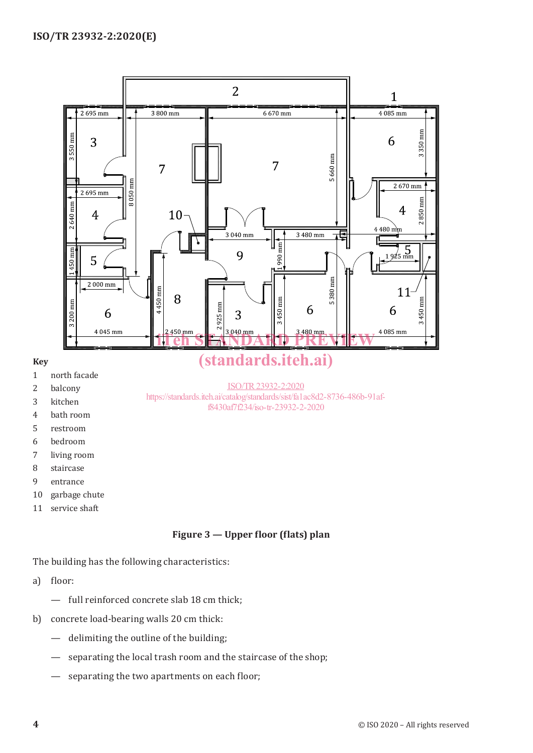

## **Figure 3 — Upper floor (flats) plan**

The building has the following characteristics:

a) floor:

- full reinforced concrete slab 18 cm thick;
- b) concrete load-bearing walls 20 cm thick:
	- delimiting the outline of the building;
	- separating the local trash room and the staircase of the shop;
	- separating the two apartments on each floor;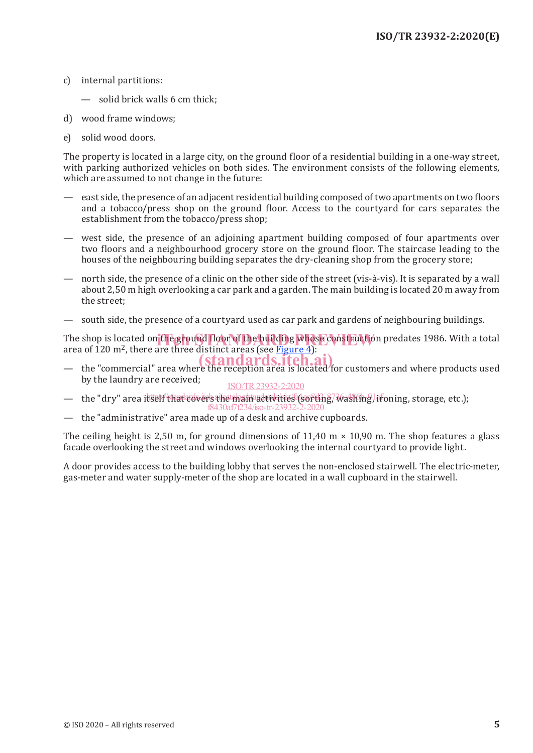- c) internal partitions:
	- solid brick walls 6 cm thick;
- d) wood frame windows;
- e) solid wood doors.

The property is located in a large city, on the ground floor of a residential building in a one-way street, with parking authorized vehicles on both sides. The environment consists of the following elements, which are assumed to not change in the future:

- east side, the presence of an adjacent residential building composed of two apartments on two floors and a tobacco/press shop on the ground floor. Access to the courtyard for cars separates the establishment from the tobacco/press shop;
- west side, the presence of an adjoining apartment building composed of four apartments over two floors and a neighbourhood grocery store on the ground floor. The staircase leading to the houses of the neighbouring building separates the dry-cleaning shop from the grocery store;
- north side, the presence of a clinic on the other side of the street (vis-à-vis). It is separated by a wall about 2,50 m high overlooking a car park and a garden. The main building is located 20 m away from the street;
- south side, the presence of a courtyard used as car park and gardens of neighbouring buildings.

The shop is located on the ground floor of the building whose construction predates 1986. With a total area of 120 m<sup>2</sup> there are three distinct areas (see Figure 4): area of 120 m2, there are three distinct areas (see Figure 4):

- the "commercial" area where the reception area is located for customers and where products used  $\left( \frac{\text{standards}}{\text{is located}} \right)$ by the laundry are received; ISO/TR23932-2:2020
- the "dry" area itself/that covers the main activities (sorting, washing, ironing, storage, etc.);
- the "administrative" area made up of a desk and archive cupboards. f8430af7f234/iso-tr-23932-2-2020

The ceiling height is 2.50 m, for ground dimensions of 11.40 m  $\times$  10.90 m. The shop features a glass facade overlooking the street and windows overlooking the internal courtyard to provide light.

A door provides access to the building lobby that serves the non-enclosed stairwell. The electric-meter, gas-meter and water supply-meter of the shop are located in a wall cupboard in the stairwell.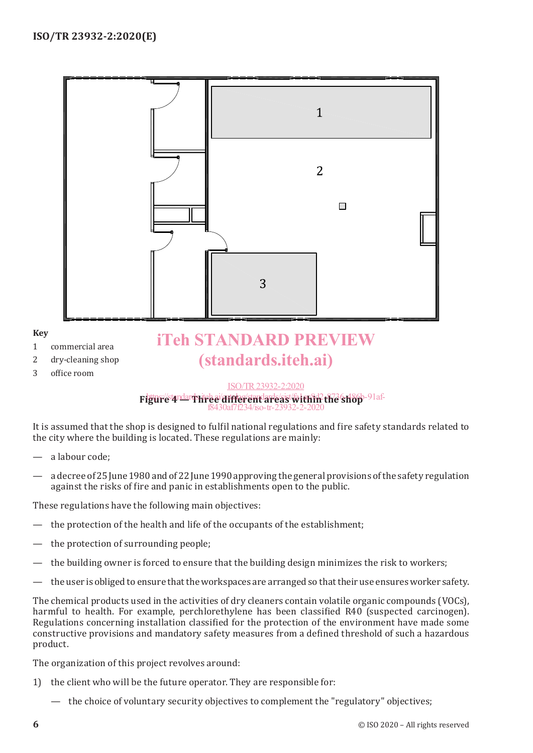

- 2 dry-cleaning shop
- 3 office room

**Key**

# (standards.iteh.ai)

#### Figur*e* 4 dards in 2016 The standards is the standard Check of the Shop-91 af-ISO/TR23932-2:2020 f8430af7f234/iso-tr-23932-2-2020

It is assumed that the shop is designed to fulfil national regulations and fire safety standards related to the city where the building is located. These regulations are mainly:

- a labour code;
- a decree of 25 June 1980 and of 22 June 1990 approving the general provisions of the safety regulation against the risks of fire and panic in establishments open to the public.

These regulations have the following main objectives:

- the protection of the health and life of the occupants of the establishment;
- the protection of surrounding people;
- the building owner is forced to ensure that the building design minimizes the risk to workers;
- the user is obliged to ensure that the workspaces are arranged so that their use ensures worker safety.

The chemical products used in the activities of dry cleaners contain volatile organic compounds (VOCs), harmful to health. For example, perchlorethylene has been classified R40 (suspected carcinogen). Regulations concerning installation classified for the protection of the environment have made some constructive provisions and mandatory safety measures from a defined threshold of such a hazardous product.

The organization of this project revolves around:

- 1) the client who will be the future operator. They are responsible for:
	- the choice of voluntary security objectives to complement the "regulatory" objectives;